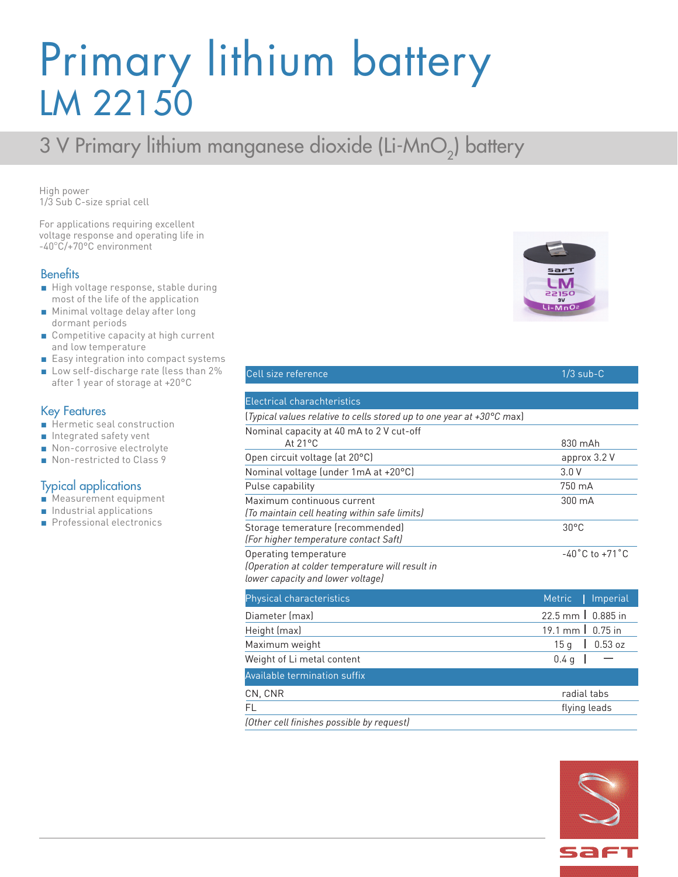## Primary lithium battery LM 22150

### 3 V Primary lithium manganese dioxide (Li-MnO<sub>2</sub>) battery

High power 1/3 Sub C-size sprial cell

For applications requiring excellent voltage response and operating life in -40°C/+70°C environment

### **Benefits**

- High voltage response, stable during most of the life of the application
- Minimal voltage delay after long dormant periods
- Competitive capacity at high current and low temperature
- Easy integration into compact systems
- Low self-discharge rate (less than 2% after 1 year of storage at +20°C

### Key Features

- Hermetic seal construction
- Integrated safety vent
- Non-corrosive electrolyte
- Non-restricted to Class 9

### Typical applications

- Measurement equipment
- Industrial applications
- Professional electronics



 $1/3$  sub-C

|  | Cell size reference |
|--|---------------------|
|  |                     |
|  |                     |

| <b>Electrical charachteristics</b>                                                                            |                                                  |
|---------------------------------------------------------------------------------------------------------------|--------------------------------------------------|
| (Typical values relative to cells stored up to one year at +30°C max)                                         |                                                  |
| Nominal capacity at 40 mA to 2 V cut-off                                                                      |                                                  |
| $At 21^{\circ}C$                                                                                              | $830 \text{ m}$ Ah                               |
| Open circuit voltage (at 20°C)                                                                                | approx 3.2 V                                     |
| Nominal voltage (under 1mA at +20°C)                                                                          | 3.0V                                             |
| Pulse capability                                                                                              | 750 mA                                           |
| Maximum continuous current<br>(To maintain cell heating within safe limits)                                   | 300 mA                                           |
| Storage temerature (recommended)<br>(For higher temperature contact Saft)                                     | $30^{\circ}$ C                                   |
| Operating temperature<br>(Operation at colder temperature will result in<br>lower capacity and lower voltage) | $-40^{\circ}$ C to $+71^{\circ}$ C               |
| Physical characteristics                                                                                      | Imperial<br><b>Metric</b>                        |
| Diameter (max)                                                                                                | $0.885$ in<br>$22.5$ mm $\overline{\phantom{a}}$ |
| Height (max)                                                                                                  | $19.1 \text{ mm}$<br>$0.75$ in                   |
| Maximum weight                                                                                                | 15 <sub>g</sub><br>0.53 oz                       |
| Weight of Li metal content                                                                                    | 0.4 <sub>q</sub>                                 |
| <b>Available termination suffix</b>                                                                           |                                                  |
| CN, CNR                                                                                                       | radial tabs                                      |
| FL                                                                                                            | flying leads                                     |

*(Other cell finishes possible by request)*